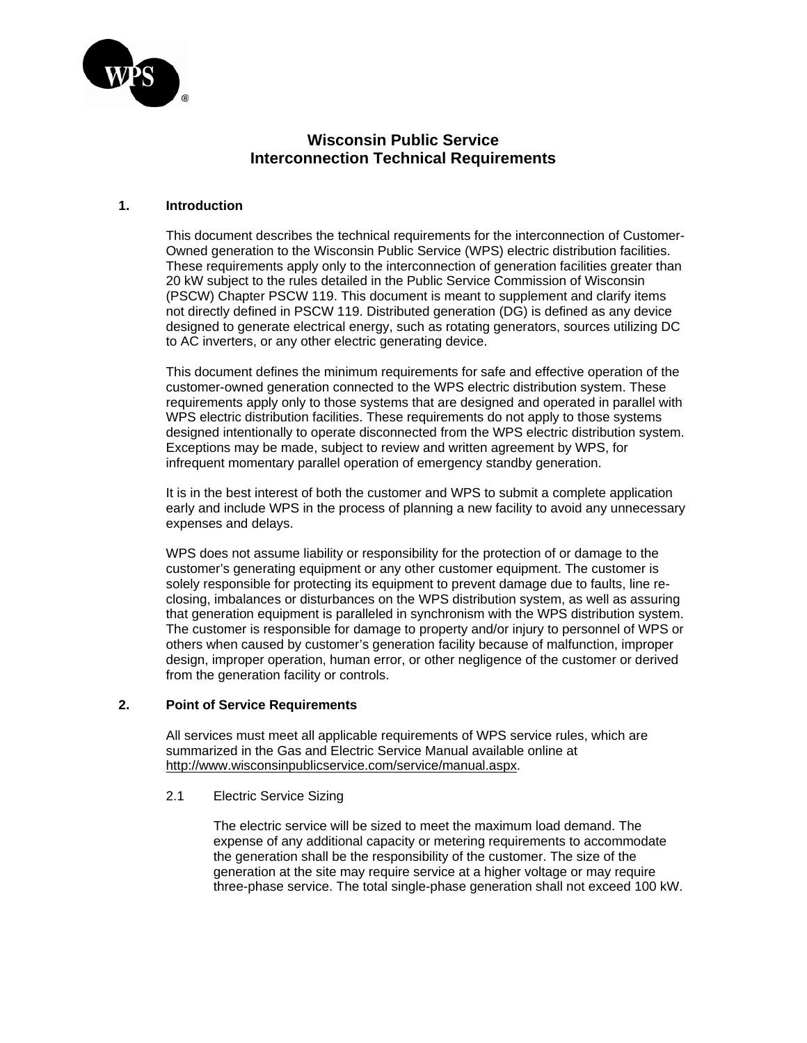

# **Wisconsin Public Service Interconnection Technical Requirements**

# **1. Introduction**

This document describes the technical requirements for the interconnection of Customer-Owned generation to the Wisconsin Public Service (WPS) electric distribution facilities. These requirements apply only to the interconnection of generation facilities greater than 20 kW subject to the rules detailed in the Public Service Commission of Wisconsin (PSCW) Chapter PSCW 119. This document is meant to supplement and clarify items not directly defined in PSCW 119. Distributed generation (DG) is defined as any device designed to generate electrical energy, such as rotating generators, sources utilizing DC to AC inverters, or any other electric generating device.

This document defines the minimum requirements for safe and effective operation of the customer-owned generation connected to the WPS electric distribution system. These requirements apply only to those systems that are designed and operated in parallel with WPS electric distribution facilities. These requirements do not apply to those systems designed intentionally to operate disconnected from the WPS electric distribution system. Exceptions may be made, subject to review and written agreement by WPS, for infrequent momentary parallel operation of emergency standby generation.

It is in the best interest of both the customer and WPS to submit a complete application early and include WPS in the process of planning a new facility to avoid any unnecessary expenses and delays.

WPS does not assume liability or responsibility for the protection of or damage to the customer's generating equipment or any other customer equipment. The customer is solely responsible for protecting its equipment to prevent damage due to faults, line reclosing, imbalances or disturbances on the WPS distribution system, as well as assuring that generation equipment is paralleled in synchronism with the WPS distribution system. The customer is responsible for damage to property and/or injury to personnel of WPS or others when caused by customer's generation facility because of malfunction, improper design, improper operation, human error, or other negligence of the customer or derived from the generation facility or controls.

## **2. Point of Service Requirements**

All services must meet all applicable requirements of WPS service rules, which are summarized in the Gas and Electric Service Manual available online at http://www.wisconsinpublicservice.com/service/manual.aspx.

2.1 Electric Service Sizing

The electric service will be sized to meet the maximum load demand. The expense of any additional capacity or metering requirements to accommodate the generation shall be the responsibility of the customer. The size of the generation at the site may require service at a higher voltage or may require three-phase service. The total single-phase generation shall not exceed 100 kW.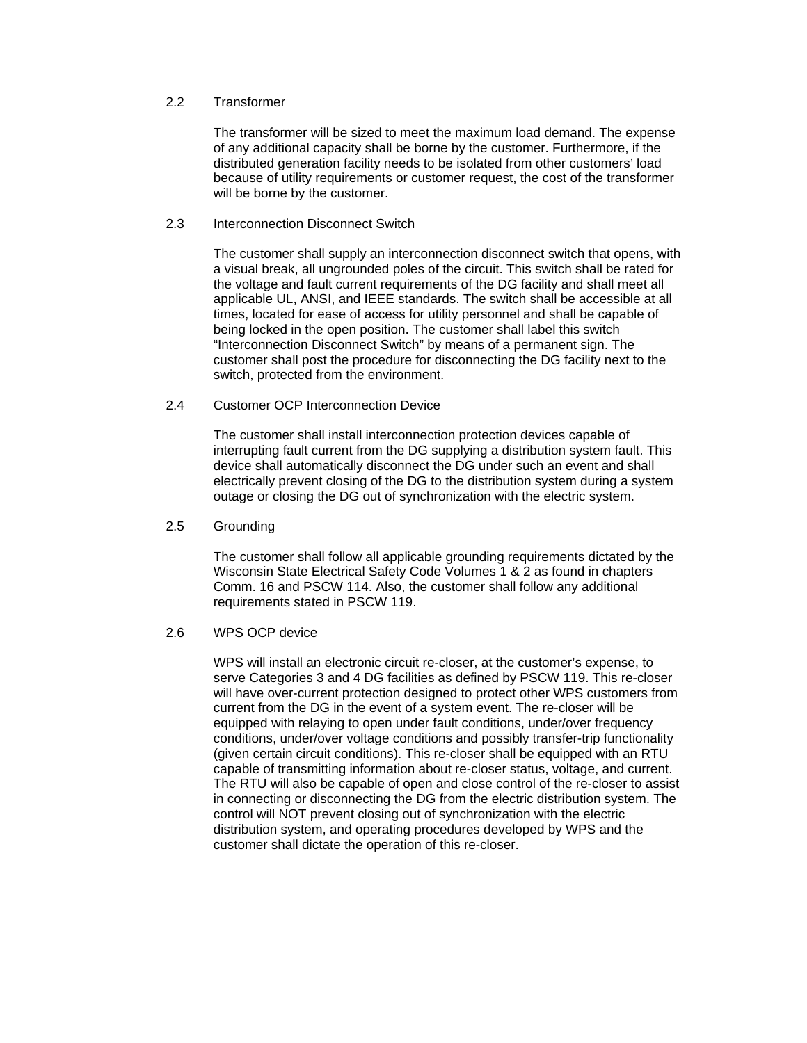# 2.2 Transformer

The transformer will be sized to meet the maximum load demand. The expense of any additional capacity shall be borne by the customer. Furthermore, if the distributed generation facility needs to be isolated from other customers' load because of utility requirements or customer request, the cost of the transformer will be borne by the customer.

#### 2.3 Interconnection Disconnect Switch

The customer shall supply an interconnection disconnect switch that opens, with a visual break, all ungrounded poles of the circuit. This switch shall be rated for the voltage and fault current requirements of the DG facility and shall meet all applicable UL, ANSI, and IEEE standards. The switch shall be accessible at all times, located for ease of access for utility personnel and shall be capable of being locked in the open position. The customer shall label this switch "Interconnection Disconnect Switch" by means of a permanent sign. The customer shall post the procedure for disconnecting the DG facility next to the switch, protected from the environment.

# 2.4 Customer OCP Interconnection Device

The customer shall install interconnection protection devices capable of interrupting fault current from the DG supplying a distribution system fault. This device shall automatically disconnect the DG under such an event and shall electrically prevent closing of the DG to the distribution system during a system outage or closing the DG out of synchronization with the electric system.

#### 2.5 Grounding

The customer shall follow all applicable grounding requirements dictated by the Wisconsin State Electrical Safety Code Volumes 1 & 2 as found in chapters Comm. 16 and PSCW 114. Also, the customer shall follow any additional requirements stated in PSCW 119.

#### 2.6 WPS OCP device

WPS will install an electronic circuit re-closer, at the customer's expense, to serve Categories 3 and 4 DG facilities as defined by PSCW 119. This re-closer will have over-current protection designed to protect other WPS customers from current from the DG in the event of a system event. The re-closer will be equipped with relaying to open under fault conditions, under/over frequency conditions, under/over voltage conditions and possibly transfer-trip functionality (given certain circuit conditions). This re-closer shall be equipped with an RTU capable of transmitting information about re-closer status, voltage, and current. The RTU will also be capable of open and close control of the re-closer to assist in connecting or disconnecting the DG from the electric distribution system. The control will NOT prevent closing out of synchronization with the electric distribution system, and operating procedures developed by WPS and the customer shall dictate the operation of this re-closer.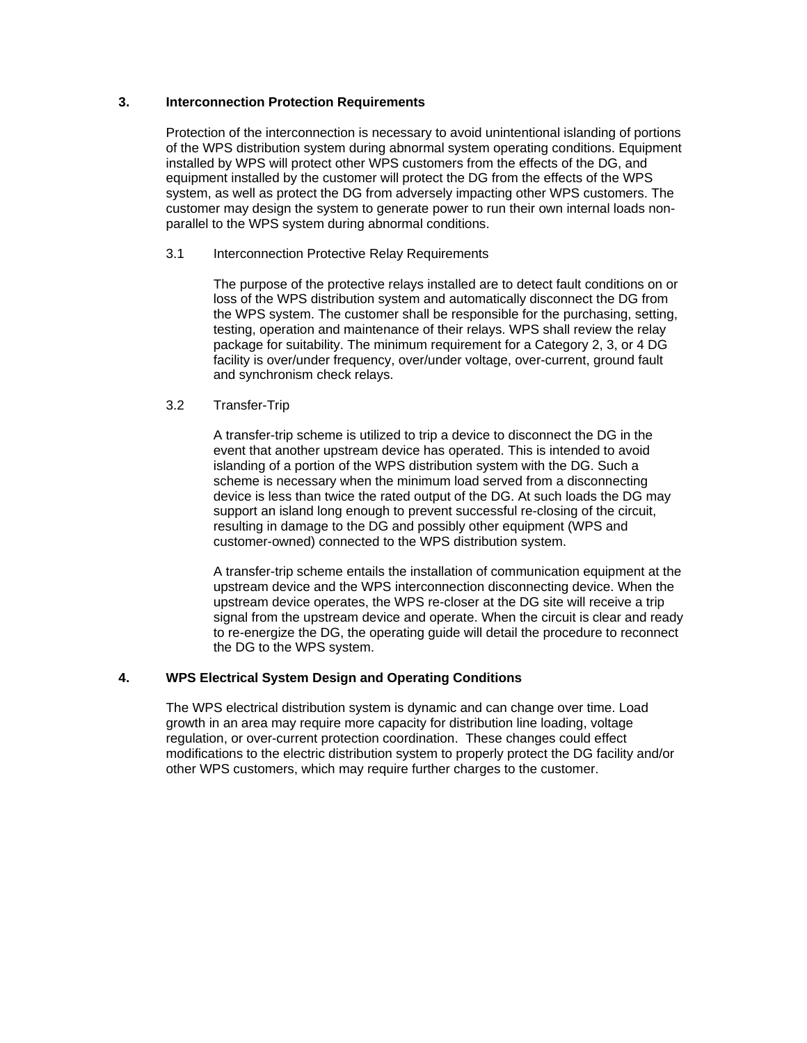# **3. Interconnection Protection Requirements**

Protection of the interconnection is necessary to avoid unintentional islanding of portions of the WPS distribution system during abnormal system operating conditions. Equipment installed by WPS will protect other WPS customers from the effects of the DG, and equipment installed by the customer will protect the DG from the effects of the WPS system, as well as protect the DG from adversely impacting other WPS customers. The customer may design the system to generate power to run their own internal loads nonparallel to the WPS system during abnormal conditions.

# 3.1 Interconnection Protective Relay Requirements

The purpose of the protective relays installed are to detect fault conditions on or loss of the WPS distribution system and automatically disconnect the DG from the WPS system. The customer shall be responsible for the purchasing, setting, testing, operation and maintenance of their relays. WPS shall review the relay package for suitability. The minimum requirement for a Category 2, 3, or 4 DG facility is over/under frequency, over/under voltage, over-current, ground fault and synchronism check relays.

## 3.2 Transfer-Trip

A transfer-trip scheme is utilized to trip a device to disconnect the DG in the event that another upstream device has operated. This is intended to avoid islanding of a portion of the WPS distribution system with the DG. Such a scheme is necessary when the minimum load served from a disconnecting device is less than twice the rated output of the DG. At such loads the DG may support an island long enough to prevent successful re-closing of the circuit, resulting in damage to the DG and possibly other equipment (WPS and customer-owned) connected to the WPS distribution system.

A transfer-trip scheme entails the installation of communication equipment at the upstream device and the WPS interconnection disconnecting device. When the upstream device operates, the WPS re-closer at the DG site will receive a trip signal from the upstream device and operate. When the circuit is clear and ready to re-energize the DG, the operating guide will detail the procedure to reconnect the DG to the WPS system.

# **4. WPS Electrical System Design and Operating Conditions**

The WPS electrical distribution system is dynamic and can change over time. Load growth in an area may require more capacity for distribution line loading, voltage regulation, or over-current protection coordination. These changes could effect modifications to the electric distribution system to properly protect the DG facility and/or other WPS customers, which may require further charges to the customer.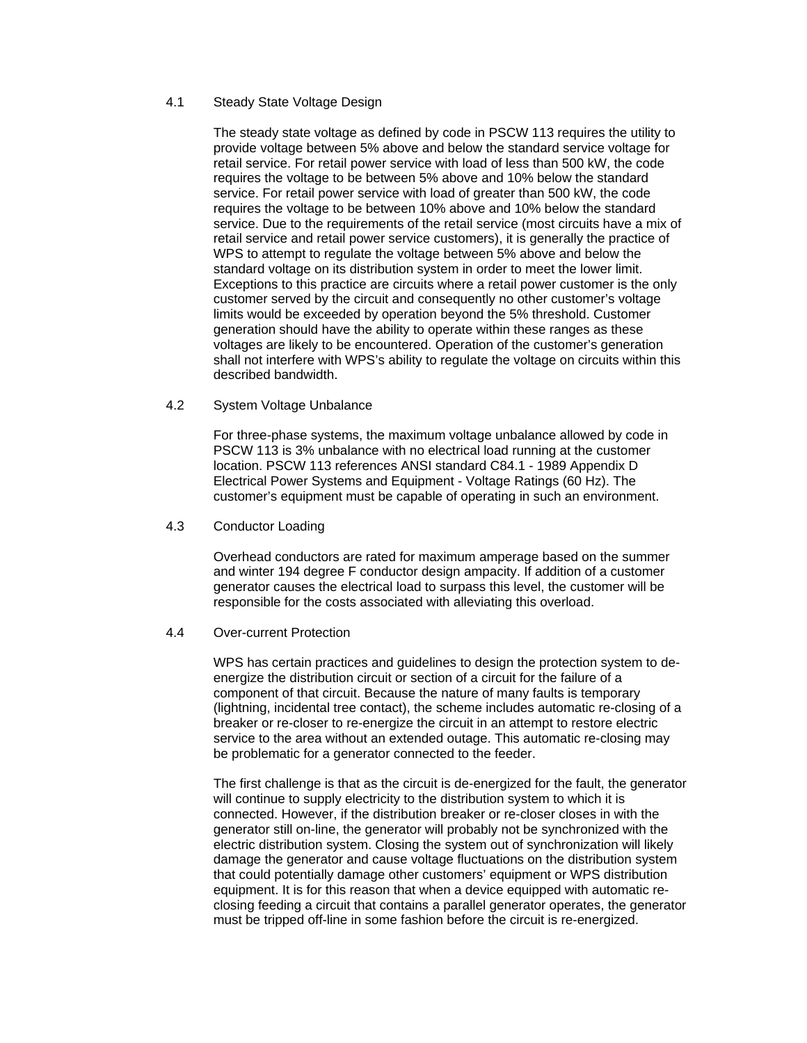## 4.1 Steady State Voltage Design

The steady state voltage as defined by code in PSCW 113 requires the utility to provide voltage between 5% above and below the standard service voltage for retail service. For retail power service with load of less than 500 kW, the code requires the voltage to be between 5% above and 10% below the standard service. For retail power service with load of greater than 500 kW, the code requires the voltage to be between 10% above and 10% below the standard service. Due to the requirements of the retail service (most circuits have a mix of retail service and retail power service customers), it is generally the practice of WPS to attempt to regulate the voltage between 5% above and below the standard voltage on its distribution system in order to meet the lower limit. Exceptions to this practice are circuits where a retail power customer is the only customer served by the circuit and consequently no other customer's voltage limits would be exceeded by operation beyond the 5% threshold. Customer generation should have the ability to operate within these ranges as these voltages are likely to be encountered. Operation of the customer's generation shall not interfere with WPS's ability to regulate the voltage on circuits within this described bandwidth.

4.2 System Voltage Unbalance

For three-phase systems, the maximum voltage unbalance allowed by code in PSCW 113 is 3% unbalance with no electrical load running at the customer location. PSCW 113 references ANSI standard C84.1 - 1989 Appendix D Electrical Power Systems and Equipment - Voltage Ratings (60 Hz). The customer's equipment must be capable of operating in such an environment.

4.3 Conductor Loading

Overhead conductors are rated for maximum amperage based on the summer and winter 194 degree F conductor design ampacity. If addition of a customer generator causes the electrical load to surpass this level, the customer will be responsible for the costs associated with alleviating this overload.

#### 4.4 Over-current Protection

WPS has certain practices and guidelines to design the protection system to deenergize the distribution circuit or section of a circuit for the failure of a component of that circuit. Because the nature of many faults is temporary (lightning, incidental tree contact), the scheme includes automatic re-closing of a breaker or re-closer to re-energize the circuit in an attempt to restore electric service to the area without an extended outage. This automatic re-closing may be problematic for a generator connected to the feeder.

The first challenge is that as the circuit is de-energized for the fault, the generator will continue to supply electricity to the distribution system to which it is connected. However, if the distribution breaker or re-closer closes in with the generator still on-line, the generator will probably not be synchronized with the electric distribution system. Closing the system out of synchronization will likely damage the generator and cause voltage fluctuations on the distribution system that could potentially damage other customers' equipment or WPS distribution equipment. It is for this reason that when a device equipped with automatic reclosing feeding a circuit that contains a parallel generator operates, the generator must be tripped off-line in some fashion before the circuit is re-energized.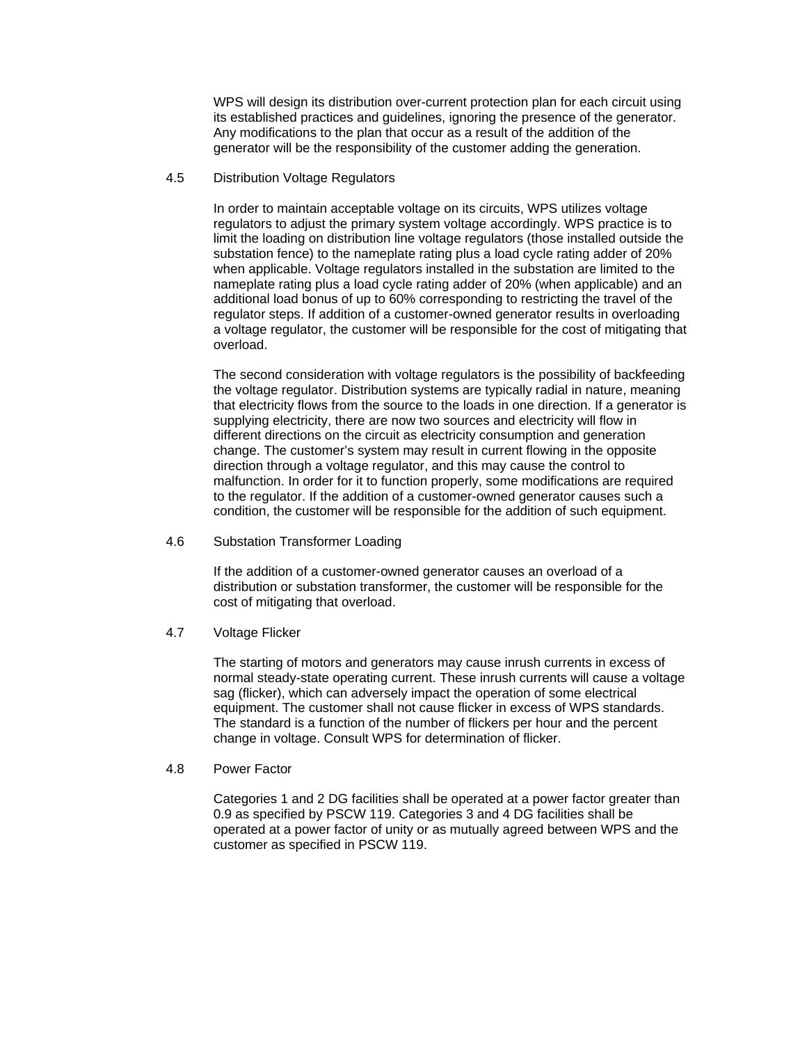WPS will design its distribution over-current protection plan for each circuit using its established practices and guidelines, ignoring the presence of the generator. Any modifications to the plan that occur as a result of the addition of the generator will be the responsibility of the customer adding the generation.

#### 4.5 Distribution Voltage Regulators

In order to maintain acceptable voltage on its circuits, WPS utilizes voltage regulators to adjust the primary system voltage accordingly. WPS practice is to limit the loading on distribution line voltage regulators (those installed outside the substation fence) to the nameplate rating plus a load cycle rating adder of 20% when applicable. Voltage regulators installed in the substation are limited to the nameplate rating plus a load cycle rating adder of 20% (when applicable) and an additional load bonus of up to 60% corresponding to restricting the travel of the regulator steps. If addition of a customer-owned generator results in overloading a voltage regulator, the customer will be responsible for the cost of mitigating that overload.

The second consideration with voltage regulators is the possibility of backfeeding the voltage regulator. Distribution systems are typically radial in nature, meaning that electricity flows from the source to the loads in one direction. If a generator is supplying electricity, there are now two sources and electricity will flow in different directions on the circuit as electricity consumption and generation change. The customer's system may result in current flowing in the opposite direction through a voltage regulator, and this may cause the control to malfunction. In order for it to function properly, some modifications are required to the regulator. If the addition of a customer-owned generator causes such a condition, the customer will be responsible for the addition of such equipment.

4.6 Substation Transformer Loading

If the addition of a customer-owned generator causes an overload of a distribution or substation transformer, the customer will be responsible for the cost of mitigating that overload.

4.7 Voltage Flicker

The starting of motors and generators may cause inrush currents in excess of normal steady-state operating current. These inrush currents will cause a voltage sag (flicker), which can adversely impact the operation of some electrical equipment. The customer shall not cause flicker in excess of WPS standards. The standard is a function of the number of flickers per hour and the percent change in voltage. Consult WPS for determination of flicker.

4.8 Power Factor

Categories 1 and 2 DG facilities shall be operated at a power factor greater than 0.9 as specified by PSCW 119. Categories 3 and 4 DG facilities shall be operated at a power factor of unity or as mutually agreed between WPS and the customer as specified in PSCW 119.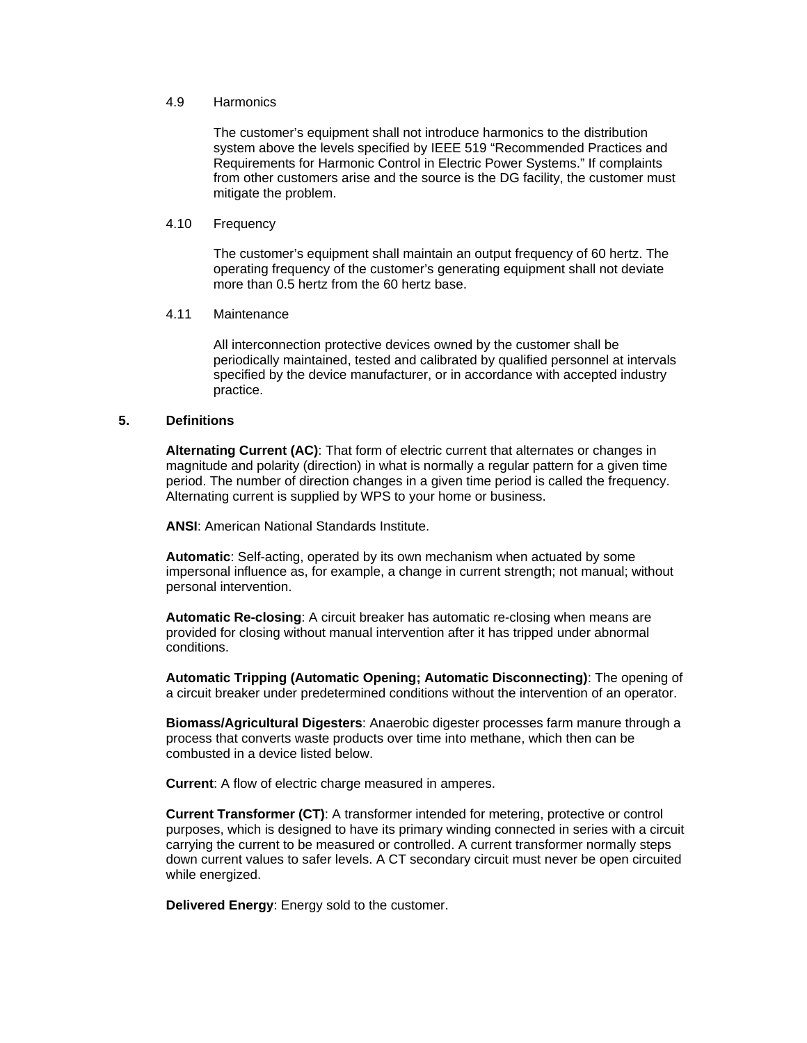# 4.9 Harmonics

The customer's equipment shall not introduce harmonics to the distribution system above the levels specified by IEEE 519 "Recommended Practices and Requirements for Harmonic Control in Electric Power Systems." If complaints from other customers arise and the source is the DG facility, the customer must mitigate the problem.

#### 4.10 Frequency

The customer's equipment shall maintain an output frequency of 60 hertz. The operating frequency of the customer's generating equipment shall not deviate more than 0.5 hertz from the 60 hertz base.

#### 4.11 Maintenance

All interconnection protective devices owned by the customer shall be periodically maintained, tested and calibrated by qualified personnel at intervals specified by the device manufacturer, or in accordance with accepted industry practice.

# **5. Definitions**

**Alternating Current (AC)**: That form of electric current that alternates or changes in magnitude and polarity (direction) in what is normally a regular pattern for a given time period. The number of direction changes in a given time period is called the frequency. Alternating current is supplied by WPS to your home or business.

**ANSI**: American National Standards Institute.

**Automatic**: Self-acting, operated by its own mechanism when actuated by some impersonal influence as, for example, a change in current strength; not manual; without personal intervention.

**Automatic Re-closing**: A circuit breaker has automatic re-closing when means are provided for closing without manual intervention after it has tripped under abnormal conditions.

**Automatic Tripping (Automatic Opening; Automatic Disconnecting)**: The opening of a circuit breaker under predetermined conditions without the intervention of an operator.

**Biomass/Agricultural Digesters**: Anaerobic digester processes farm manure through a process that converts waste products over time into methane, which then can be combusted in a device listed below.

**Current**: A flow of electric charge measured in amperes.

**Current Transformer (CT)**: A transformer intended for metering, protective or control purposes, which is designed to have its primary winding connected in series with a circuit carrying the current to be measured or controlled. A current transformer normally steps down current values to safer levels. A CT secondary circuit must never be open circuited while energized.

**Delivered Energy**: Energy sold to the customer.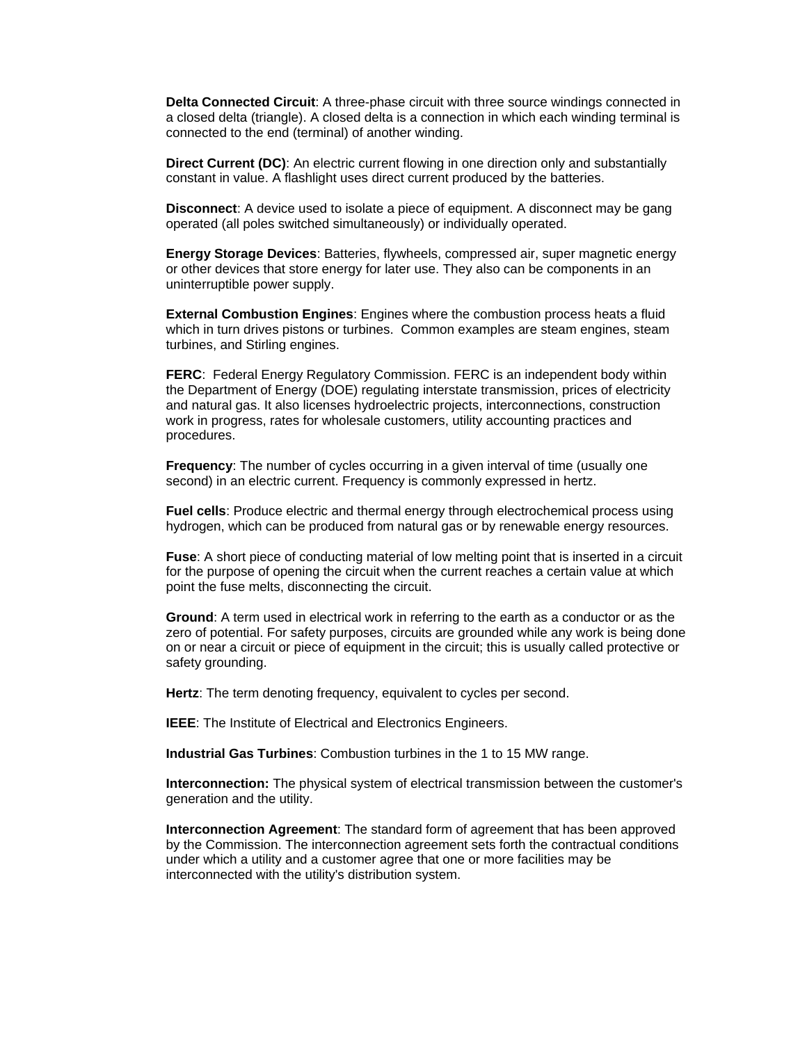**Delta Connected Circuit**: A three-phase circuit with three source windings connected in a closed delta (triangle). A closed delta is a connection in which each winding terminal is connected to the end (terminal) of another winding.

**Direct Current (DC)**: An electric current flowing in one direction only and substantially constant in value. A flashlight uses direct current produced by the batteries.

**Disconnect**: A device used to isolate a piece of equipment. A disconnect may be gang operated (all poles switched simultaneously) or individually operated.

**Energy Storage Devices**: Batteries, flywheels, compressed air, super magnetic energy or other devices that store energy for later use. They also can be components in an uninterruptible power supply.

**External Combustion Engines**: Engines where the combustion process heats a fluid which in turn drives pistons or turbines. Common examples are steam engines, steam turbines, and Stirling engines.

**FERC**: Federal Energy Regulatory Commission. FERC is an independent body within the Department of Energy (DOE) regulating interstate transmission, prices of electricity and natural gas. It also licenses hydroelectric projects, interconnections, construction work in progress, rates for wholesale customers, utility accounting practices and procedures.

**Frequency**: The number of cycles occurring in a given interval of time (usually one second) in an electric current. Frequency is commonly expressed in hertz.

**Fuel cells**: Produce electric and thermal energy through electrochemical process using hydrogen, which can be produced from natural gas or by renewable energy resources.

**Fuse**: A short piece of conducting material of low melting point that is inserted in a circuit for the purpose of opening the circuit when the current reaches a certain value at which point the fuse melts, disconnecting the circuit.

**Ground**: A term used in electrical work in referring to the earth as a conductor or as the zero of potential. For safety purposes, circuits are grounded while any work is being done on or near a circuit or piece of equipment in the circuit; this is usually called protective or safety grounding.

**Hertz**: The term denoting frequency, equivalent to cycles per second.

**IEEE**: The Institute of Electrical and Electronics Engineers.

**Industrial Gas Turbines**: Combustion turbines in the 1 to 15 MW range.

**Interconnection:** The physical system of electrical transmission between the customer's generation and the utility.

**Interconnection Agreement**: The standard form of agreement that has been approved by the Commission. The interconnection agreement sets forth the contractual conditions under which a utility and a customer agree that one or more facilities may be interconnected with the utility's distribution system.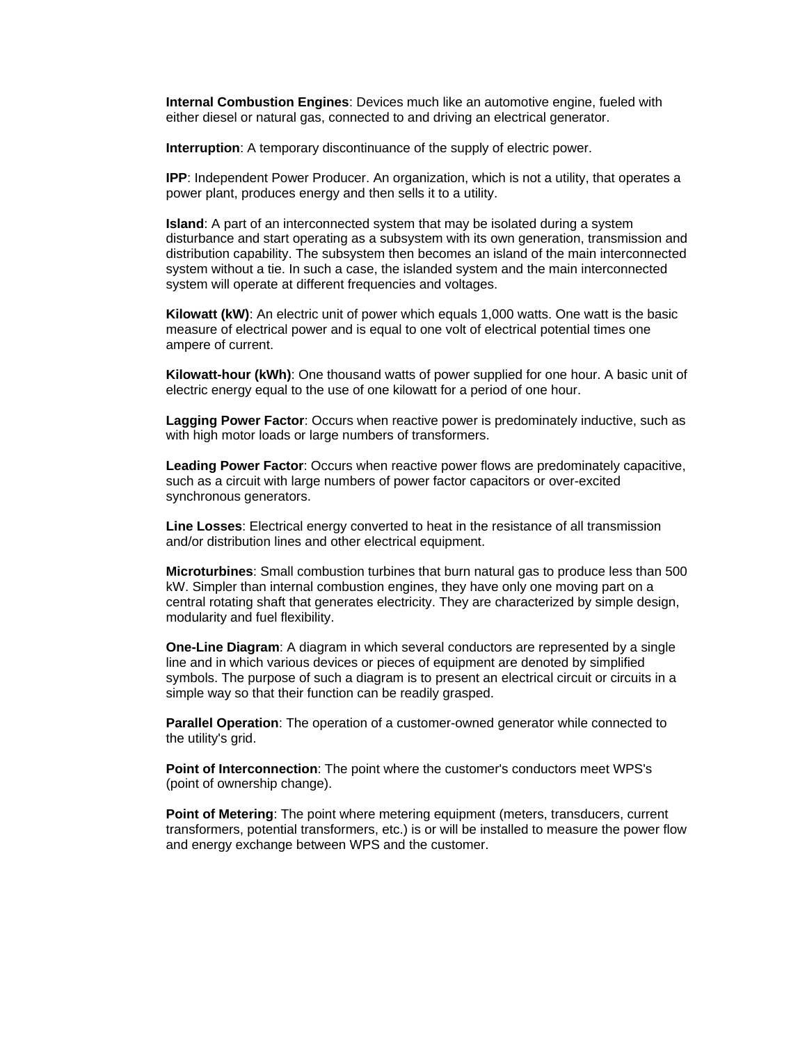**Internal Combustion Engines**: Devices much like an automotive engine, fueled with either diesel or natural gas, connected to and driving an electrical generator.

**Interruption**: A temporary discontinuance of the supply of electric power.

**IPP**: Independent Power Producer. An organization, which is not a utility, that operates a power plant, produces energy and then sells it to a utility.

**Island**: A part of an interconnected system that may be isolated during a system disturbance and start operating as a subsystem with its own generation, transmission and distribution capability. The subsystem then becomes an island of the main interconnected system without a tie. In such a case, the islanded system and the main interconnected system will operate at different frequencies and voltages.

**Kilowatt (kW)**: An electric unit of power which equals 1,000 watts. One watt is the basic measure of electrical power and is equal to one volt of electrical potential times one ampere of current.

**Kilowatt-hour (kWh)**: One thousand watts of power supplied for one hour. A basic unit of electric energy equal to the use of one kilowatt for a period of one hour.

**Lagging Power Factor**: Occurs when reactive power is predominately inductive, such as with high motor loads or large numbers of transformers.

**Leading Power Factor**: Occurs when reactive power flows are predominately capacitive, such as a circuit with large numbers of power factor capacitors or over-excited synchronous generators.

**Line Losses**: Electrical energy converted to heat in the resistance of all transmission and/or distribution lines and other electrical equipment.

**Microturbines**: Small combustion turbines that burn natural gas to produce less than 500 kW. Simpler than internal combustion engines, they have only one moving part on a central rotating shaft that generates electricity. They are characterized by simple design, modularity and fuel flexibility.

**One-Line Diagram**: A diagram in which several conductors are represented by a single line and in which various devices or pieces of equipment are denoted by simplified symbols. The purpose of such a diagram is to present an electrical circuit or circuits in a simple way so that their function can be readily grasped.

**Parallel Operation**: The operation of a customer-owned generator while connected to the utility's grid.

**Point of Interconnection**: The point where the customer's conductors meet WPS's (point of ownership change).

**Point of Metering**: The point where metering equipment (meters, transducers, current transformers, potential transformers, etc.) is or will be installed to measure the power flow and energy exchange between WPS and the customer.